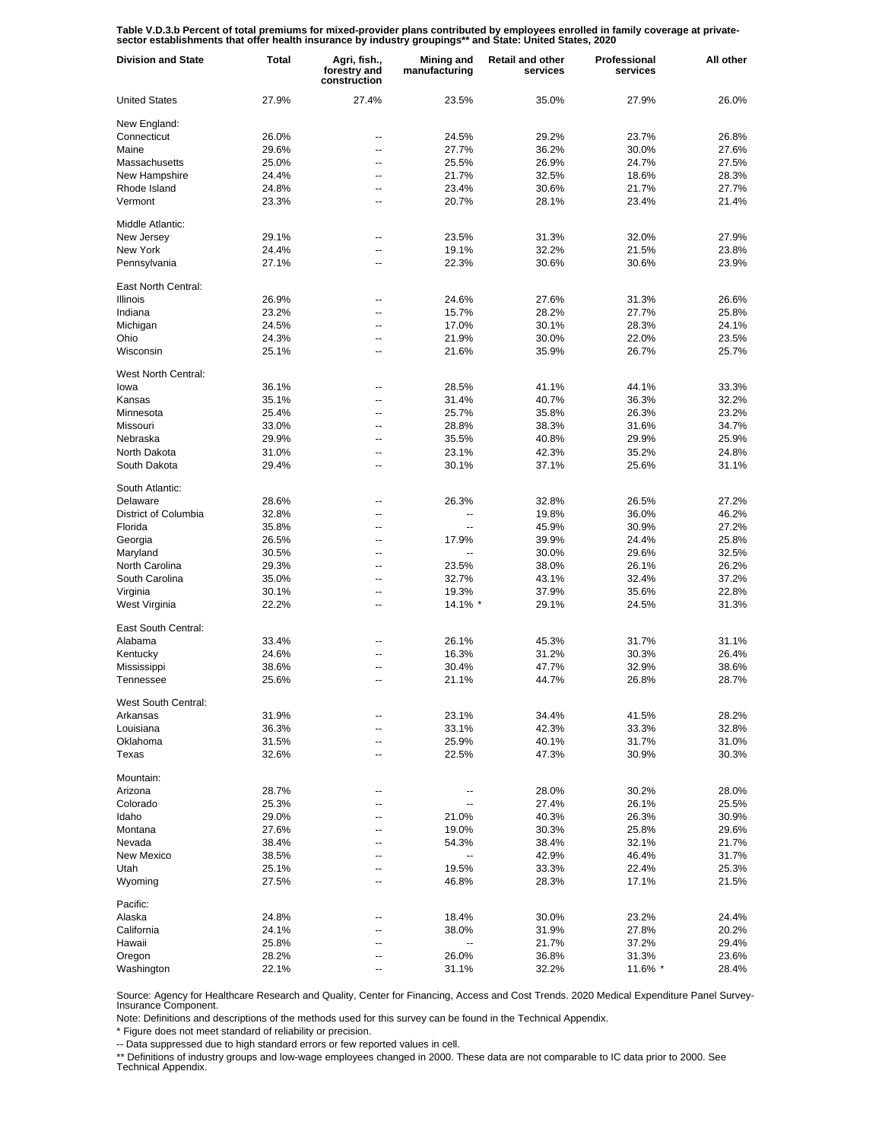Table V.D.3.b Percent of total premiums for mixed-provider plans contributed by employees enrolled in family coverage at private-<br>sector establishments that offer health insurance by industry groupings\*\* and State: United

| <b>Division and State</b> | <b>Total</b>   | Agri, fish.,<br>forestry and<br>construction | <b>Mining and</b><br>manufacturing | <b>Retail and other</b><br>services | Professional<br>services | All other      |
|---------------------------|----------------|----------------------------------------------|------------------------------------|-------------------------------------|--------------------------|----------------|
| <b>United States</b>      | 27.9%          | 27.4%                                        | 23.5%                              | 35.0%                               | 27.9%                    | 26.0%          |
| New England:              |                |                                              |                                    |                                     |                          |                |
| Connecticut               | 26.0%          | --                                           | 24.5%                              | 29.2%                               | 23.7%                    | 26.8%          |
| Maine                     | 29.6%          | --                                           | 27.7%                              | 36.2%                               | 30.0%                    | 27.6%          |
| Massachusetts             | 25.0%          | $\overline{a}$                               | 25.5%                              | 26.9%                               | 24.7%                    | 27.5%          |
| New Hampshire             | 24.4%          | --                                           | 21.7%                              | 32.5%                               | 18.6%                    | 28.3%          |
| Rhode Island              | 24.8%          | --                                           | 23.4%                              | 30.6%                               | 21.7%                    | 27.7%          |
| Vermont                   | 23.3%          | --                                           | 20.7%                              | 28.1%                               | 23.4%                    | 21.4%          |
| Middle Atlantic:          |                |                                              |                                    |                                     |                          |                |
| New Jersey                | 29.1%          | --                                           | 23.5%                              | 31.3%                               | 32.0%                    | 27.9%          |
| New York                  | 24.4%          | --                                           | 19.1%                              | 32.2%                               | 21.5%                    | 23.8%          |
| Pennsylvania              | 27.1%          | --                                           | 22.3%                              | 30.6%                               | 30.6%                    | 23.9%          |
| East North Central:       |                |                                              |                                    |                                     |                          |                |
| <b>Illinois</b>           | 26.9%          | ٠.                                           | 24.6%                              | 27.6%                               | 31.3%                    | 26.6%          |
| Indiana                   | 23.2%          | --                                           | 15.7%                              | 28.2%                               | 27.7%                    | 25.8%          |
| Michigan                  | 24.5%          | --                                           | 17.0%                              | 30.1%                               | 28.3%                    | 24.1%          |
| Ohio                      | 24.3%          | --                                           | 21.9%                              | 30.0%                               | 22.0%                    | 23.5%          |
| Wisconsin                 | 25.1%          | ٠.                                           | 21.6%                              | 35.9%                               | 26.7%                    | 25.7%          |
| West North Central:       |                |                                              |                                    |                                     |                          |                |
| lowa                      | 36.1%          | --                                           | 28.5%                              | 41.1%                               | 44.1%                    | 33.3%          |
| Kansas                    | 35.1%          | --                                           | 31.4%                              | 40.7%                               | 36.3%                    | 32.2%          |
| Minnesota                 | 25.4%          | --                                           | 25.7%                              | 35.8%                               | 26.3%                    | 23.2%          |
| Missouri                  | 33.0%          | --                                           | 28.8%                              | 38.3%                               | 31.6%                    | 34.7%          |
| Nebraska                  | 29.9%          | $\overline{a}$                               | 35.5%                              | 40.8%                               | 29.9%                    | 25.9%          |
| North Dakota              | 31.0%          | --                                           | 23.1%                              | 42.3%                               | 35.2%                    | 24.8%          |
| South Dakota              | 29.4%          | --                                           | 30.1%                              | 37.1%                               | 25.6%                    | 31.1%          |
| South Atlantic:           |                |                                              |                                    |                                     |                          |                |
| Delaware                  | 28.6%          | --                                           | 26.3%                              | 32.8%                               | 26.5%                    | 27.2%          |
| District of Columbia      | 32.8%          | --                                           |                                    | 19.8%                               | 36.0%                    | 46.2%          |
| Florida                   | 35.8%          | --                                           |                                    | 45.9%                               | 30.9%                    | 27.2%          |
| Georgia                   | 26.5%          | Ξ.                                           | 17.9%                              | 39.9%                               | 24.4%                    | 25.8%          |
| Maryland                  | 30.5%          | --                                           | $\overline{\phantom{a}}$           | 30.0%                               | 29.6%                    | 32.5%          |
| North Carolina            | 29.3%          | $\overline{\phantom{a}}$                     | 23.5%                              | 38.0%                               | 26.1%                    | 26.2%          |
| South Carolina            | 35.0%          | --                                           | 32.7%                              | 43.1%                               | 32.4%                    | 37.2%          |
| Virginia                  | 30.1%          | Ξ.                                           | 19.3%                              | 37.9%                               | 35.6%                    | 22.8%          |
| West Virginia             | 22.2%          | --                                           | 14.1% *                            | 29.1%                               | 24.5%                    | 31.3%          |
| East South Central:       |                |                                              |                                    |                                     |                          |                |
| Alabama                   | 33.4%          | --                                           | 26.1%                              | 45.3%                               | 31.7%                    | 31.1%          |
| Kentucky                  | 24.6%          | ٠.                                           | 16.3%                              | 31.2%                               | 30.3%                    | 26.4%          |
| Mississippi               | 38.6%          | ٠.                                           | 30.4%                              | 47.7%                               | 32.9%                    | 38.6%          |
| Tennessee                 | 25.6%          | --                                           | 21.1%                              | 44.7%                               | 26.8%                    | 28.7%          |
| West South Central:       |                |                                              |                                    |                                     |                          |                |
| Arkansas                  | 31.9%          |                                              | 23.1%                              | 34.4%                               | 41.5%                    | 28.2%          |
| Louisiana                 | 36.3%          | --                                           | 33.1%                              | 42.3%                               | 33.3%                    | 32.8%          |
| Oklahoma                  | 31.5%          | --                                           | 25.9%                              | 40.1%                               | 31.7%                    | 31.0%          |
| Texas                     | 32.6%          | --                                           | 22.5%                              | 47.3%                               | 30.9%                    | 30.3%          |
| Mountain:                 |                |                                              |                                    |                                     |                          |                |
| Arizona                   | 28.7%          | --                                           |                                    | 28.0%                               | 30.2%                    | 28.0%          |
| Colorado                  | 25.3%          | --                                           |                                    | 27.4%                               | 26.1%                    | 25.5%          |
| Idaho                     | 29.0%          | --                                           | 21.0%                              | 40.3%                               | 26.3%                    | 30.9%          |
| Montana                   | 27.6%          | --                                           | 19.0%                              |                                     | 25.8%                    |                |
| Nevada                    |                | --                                           | 54.3%                              | 30.3%<br>38.4%                      | 32.1%                    | 29.6%          |
| New Mexico                | 38.4%          | --                                           | --                                 |                                     |                          | 21.7%          |
|                           | 38.5%          |                                              |                                    | 42.9%                               | 46.4%                    | 31.7%          |
| Utah<br>Wyoming           | 25.1%<br>27.5% | --<br>--                                     | 19.5%<br>46.8%                     | 33.3%<br>28.3%                      | 22.4%<br>17.1%           | 25.3%<br>21.5% |
|                           |                |                                              |                                    |                                     |                          |                |
| Pacific:                  |                |                                              |                                    |                                     |                          |                |
| Alaska                    | 24.8%          |                                              | 18.4%                              | 30.0%                               | 23.2%                    | 24.4%          |
| California                | 24.1%          |                                              | 38.0%                              | 31.9%                               | 27.8%                    | 20.2%          |
| Hawaii                    | 25.8%          | --                                           | --                                 | 21.7%                               | 37.2%                    | 29.4%          |
| Oregon                    | 28.2%          |                                              | 26.0%                              | 36.8%                               | 31.3%                    | 23.6%          |
| Washington                | 22.1%          | --                                           | 31.1%                              | 32.2%                               | 11.6% *                  | 28.4%          |

Source: Agency for Healthcare Research and Quality, Center for Financing, Access and Cost Trends. 2020 Medical Expenditure Panel Survey-Insurance Component.

Note: Definitions and descriptions of the methods used for this survey can be found in the Technical Appendix.

\* Figure does not meet standard of reliability or precision.

-- Data suppressed due to high standard errors or few reported values in cell.

\*\* Definitions of industry groups and low-wage employees changed in 2000. These data are not comparable to IC data prior to 2000. See Technical Appendix.